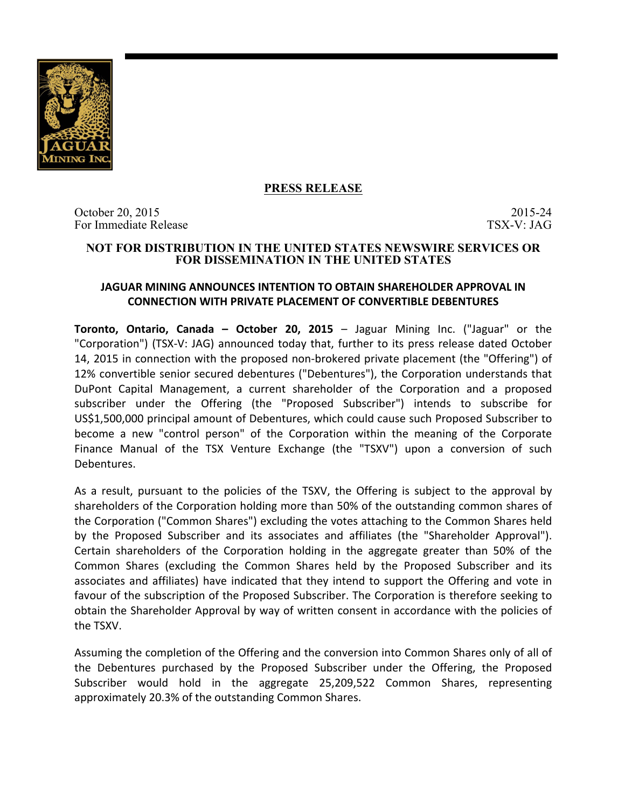

# **PRESS RELEASE**

October 20, 2015 2015 2015 2015 For Immediate Release TSX-V: JAG

### **NOT FOR DISTRIBUTION IN THE UNITED STATES NEWSWIRE SERVICES OR FOR DISSEMINATION IN THE UNITED STATES**

## **JAGUAR MINING ANNOUNCES INTENTION TO OBTAIN SHAREHOLDER APPROVAL IN CONNECTION WITH PRIVATE PLACEMENT OF CONVERTIBLE DEBENTURES**

**Toronto, Ontario, Canada – October 20, 2015** – Jaguar Mining Inc. ("Jaguar" or the "Corporation") (TSX-V: JAG) announced today that, further to its press release dated October 14, 2015 in connection with the proposed non-brokered private placement (the "Offering") of 12% convertible senior secured debentures ("Debentures"), the Corporation understands that DuPont Capital Management, a current shareholder of the Corporation and a proposed subscriber under the Offering (the "Proposed Subscriber") intends to subscribe for US\$1,500,000 principal amount of Debentures, which could cause such Proposed Subscriber to become a new "control person" of the Corporation within the meaning of the Corporate Finance Manual of the TSX Venture Exchange (the "TSXV") upon a conversion of such Debentures. 

As a result, pursuant to the policies of the TSXV, the Offering is subject to the approval by shareholders of the Corporation holding more than 50% of the outstanding common shares of the Corporation ("Common Shares") excluding the votes attaching to the Common Shares held by the Proposed Subscriber and its associates and affiliates (the "Shareholder Approval"). Certain shareholders of the Corporation holding in the aggregate greater than 50% of the Common Shares (excluding the Common Shares held by the Proposed Subscriber and its associates and affiliates) have indicated that they intend to support the Offering and vote in favour of the subscription of the Proposed Subscriber. The Corporation is therefore seeking to obtain the Shareholder Approval by way of written consent in accordance with the policies of the TSXV.

Assuming the completion of the Offering and the conversion into Common Shares only of all of the Debentures purchased by the Proposed Subscriber under the Offering, the Proposed Subscriber would hold in the aggregate 25,209,522 Common Shares, representing approximately 20.3% of the outstanding Common Shares.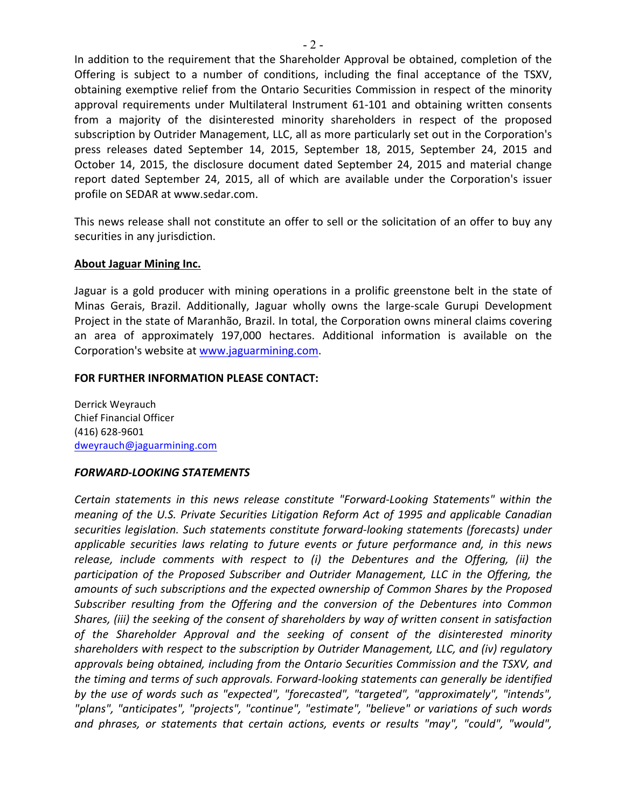In addition to the requirement that the Shareholder Approval be obtained, completion of the Offering is subject to a number of conditions, including the final acceptance of the TSXV, obtaining exemptive relief from the Ontario Securities Commission in respect of the minority approval requirements under Multilateral Instrument 61-101 and obtaining written consents from a majority of the disinterested minority shareholders in respect of the proposed subscription by Outrider Management, LLC, all as more particularly set out in the Corporation's press releases dated September 14, 2015, September 18, 2015, September 24, 2015 and October 14, 2015, the disclosure document dated September 24, 2015 and material change report dated September 24, 2015, all of which are available under the Corporation's issuer profile on SEDAR at www.sedar.com.

This news release shall not constitute an offer to sell or the solicitation of an offer to buy any securities in any jurisdiction.

## **About Jaguar Mining Inc.**

Jaguar is a gold producer with mining operations in a prolific greenstone belt in the state of Minas Gerais, Brazil. Additionally, Jaguar wholly owns the large-scale Gurupi Development Project in the state of Maranhão, Brazil. In total, the Corporation owns mineral claims covering an area of approximately 197,000 hectares. Additional information is available on the Corporation's website at www.jaguarmining.com.

#### **FOR FURTHER INFORMATION PLEASE CONTACT:**

Derrick Weyrauch Chief Financial Officer (416) 628-9601 dweyrauch@jaguarmining.com

#### *FORWARD-LOOKING STATEMENTS*

*Certain statements in this news release constitute "Forward-Looking Statements" within the meaning of the U.S. Private Securities Litigation Reform Act of 1995 and applicable Canadian* securities legislation. Such statements constitute forward-looking statements (forecasts) under *applicable securities laws relating to future events or future performance and, in this news* release, *include comments with respect to (i)* the Debentures and the Offering, (ii) the participation of the Proposed Subscriber and Outrider Management, LLC in the Offering, the amounts of such subscriptions and the expected ownership of Common Shares by the Proposed Subscriber resulting from the Offering and the conversion of the Debentures into Common Shares, (iii) the seeking of the consent of shareholders by way of written consent in satisfaction of the Shareholder Approval and the seeking of consent of the disinterested minority *shareholders with respect to the subscription by Outrider Management, LLC, and (iv) regulatory* approvals being obtained, including from the Ontario Securities Commission and the TSXV, and the timing and terms of such approvals. Forward-looking statements can generally be identified *by* the use of words such as "expected", "forecasted", "targeted", "approximately", "intends", "plans", "anticipates", "projects", "continue", "estimate", "believe" or variations of such words and phrases, or statements that certain actions, events or results "may", "could", "would",